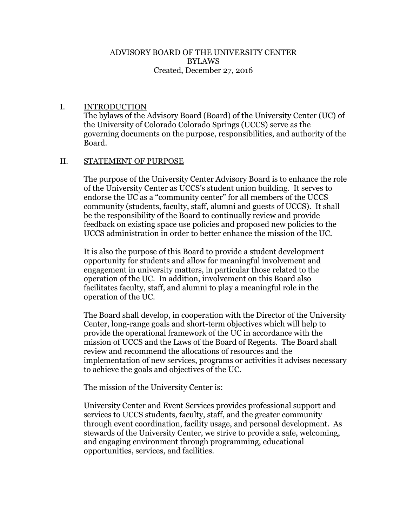#### ADVISORY BOARD OF THE UNIVERSITY CENTER BYLAWS Created, December 27, 2016

### I. INTRODUCTION

The bylaws of the Advisory Board (Board) of the University Center (UC) of the University of Colorado Colorado Springs (UCCS) serve as the governing documents on the purpose, responsibilities, and authority of the Board.

### II. STATEMENT OF PURPOSE

The purpose of the University Center Advisory Board is to enhance the role of the University Center as UCCS's student union building. It serves to endorse the UC as a "community center" for all members of the UCCS community (students, faculty, staff, alumni and guests of UCCS). It shall be the responsibility of the Board to continually review and provide feedback on existing space use policies and proposed new policies to the UCCS administration in order to better enhance the mission of the UC.

It is also the purpose of this Board to provide a student development opportunity for students and allow for meaningful involvement and engagement in university matters, in particular those related to the operation of the UC. In addition, involvement on this Board also facilitates faculty, staff, and alumni to play a meaningful role in the operation of the UC.

The Board shall develop, in cooperation with the Director of the University Center, long-range goals and short-term objectives which will help to provide the operational framework of the UC in accordance with the mission of UCCS and the Laws of the Board of Regents. The Board shall review and recommend the allocations of resources and the implementation of new services, programs or activities it advises necessary to achieve the goals and objectives of the UC.

The mission of the University Center is:

University Center and Event Services provides professional support and services to UCCS students, faculty, staff, and the greater community through event coordination, facility usage, and personal development. As stewards of the University Center, we strive to provide a safe, welcoming, and engaging environment through programming, educational opportunities, services, and facilities.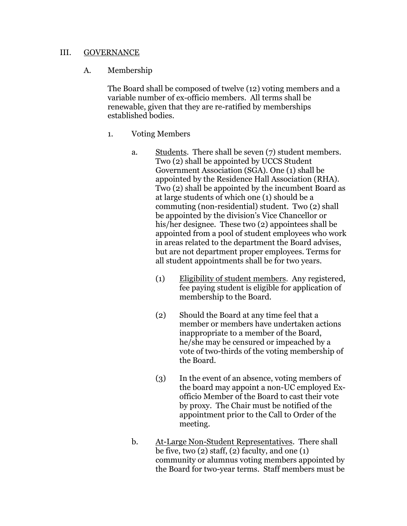### III. GOVERNANCE

### A. Membership

The Board shall be composed of twelve (12) voting members and a variable number of ex-officio members. All terms shall be renewable, given that they are re-ratified by memberships established bodies.

- 1. Voting Members
	- a. Students. There shall be seven (7) student members. Two (2) shall be appointed by UCCS Student Government Association (SGA). One (1) shall be appointed by the Residence Hall Association (RHA). Two (2) shall be appointed by the incumbent Board as at large students of which one (1) should be a commuting (non-residential) student. Two (2) shall be appointed by the division's Vice Chancellor or his/her designee. These two (2) appointees shall be appointed from a pool of student employees who work in areas related to the department the Board advises, but are not department proper employees. Terms for all student appointments shall be for two years.
		- (1) Eligibility of student members. Any registered, fee paying student is eligible for application of membership to the Board.
		- (2) Should the Board at any time feel that a member or members have undertaken actions inappropriate to a member of the Board, he/she may be censured or impeached by a vote of two-thirds of the voting membership of the Board.
		- (3) In the event of an absence, voting members of the board may appoint a non-UC employed Exofficio Member of the Board to cast their vote by proxy. The Chair must be notified of the appointment prior to the Call to Order of the meeting.
	- b. At-Large Non-Student Representatives. There shall be five, two  $(2)$  staff,  $(2)$  faculty, and one  $(1)$ community or alumnus voting members appointed by the Board for two-year terms. Staff members must be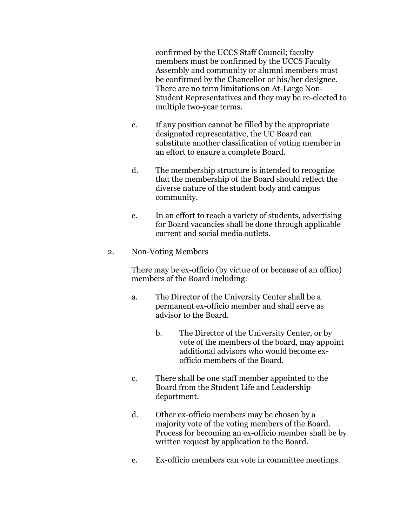confirmed by the UCCS Staff Council; faculty members must be confirmed by the UCCS Faculty Assembly and community or alumni members must be confirmed by the Chancellor or his/her designee. There are no term limitations on At-Large Non-Student Representatives and they may be re-elected to multiple two-year terms.

- c. If any position cannot be filled by the appropriate designated representative, the UC Board can substitute another classification of voting member in an effort to ensure a complete Board.
- d. The membership structure is intended to recognize that the membership of the Board should reflect the diverse nature of the student body and campus community.
- e. In an effort to reach a variety of students, advertising for Board vacancies shall be done through applicable current and social media outlets.
- 2. Non-Voting Members

There may be ex-officio (by virtue of or because of an office) members of the Board including:

- a. The Director of the University Center shall be a permanent ex-officio member and shall serve as advisor to the Board.
	- b. The Director of the University Center, or by vote of the members of the board, may appoint additional advisors who would become exofficio members of the Board.
- c. There shall be one staff member appointed to the Board from the Student Life and Leadership department.
- d. Other ex-officio members may be chosen by a majority vote of the voting members of the Board. Process for becoming an ex-officio member shall be by written request by application to the Board.
- e. Ex-officio members can vote in committee meetings.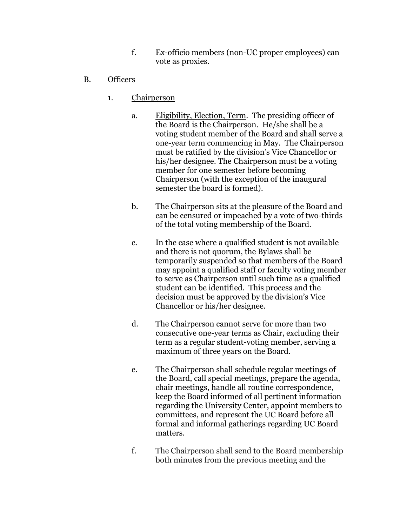- f. Ex-officio members (non-UC proper employees) can vote as proxies.
- B. Officers
	- 1. Chairperson
		- a. Eligibility, Election, Term. The presiding officer of the Board is the Chairperson. He/she shall be a voting student member of the Board and shall serve a one-year term commencing in May. The Chairperson must be ratified by the division's Vice Chancellor or his/her designee. The Chairperson must be a voting member for one semester before becoming Chairperson (with the exception of the inaugural semester the board is formed).
		- b. The Chairperson sits at the pleasure of the Board and can be censured or impeached by a vote of two-thirds of the total voting membership of the Board.
		- c. In the case where a qualified student is not available and there is not quorum, the Bylaws shall be temporarily suspended so that members of the Board may appoint a qualified staff or faculty voting member to serve as Chairperson until such time as a qualified student can be identified. This process and the decision must be approved by the division's Vice Chancellor or his/her designee.
		- d. The Chairperson cannot serve for more than two consecutive one-year terms as Chair, excluding their term as a regular student-voting member, serving a maximum of three years on the Board.
		- e. The Chairperson shall schedule regular meetings of the Board, call special meetings, prepare the agenda, chair meetings, handle all routine correspondence, keep the Board informed of all pertinent information regarding the University Center, appoint members to committees, and represent the UC Board before all formal and informal gatherings regarding UC Board matters.
		- f. The Chairperson shall send to the Board membership both minutes from the previous meeting and the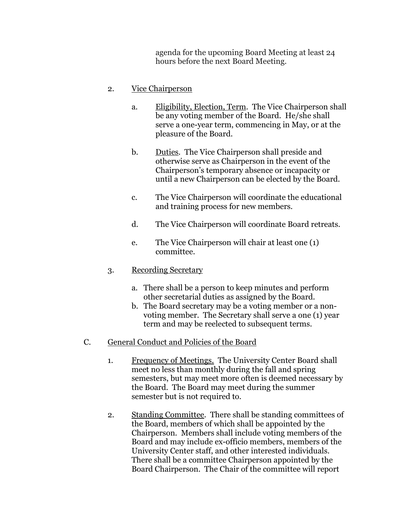agenda for the upcoming Board Meeting at least 24 hours before the next Board Meeting.

### 2. Vice Chairperson

- a. Eligibility, Election, Term. The Vice Chairperson shall be any voting member of the Board. He/she shall serve a one-year term, commencing in May, or at the pleasure of the Board.
- b. Duties. The Vice Chairperson shall preside and otherwise serve as Chairperson in the event of the Chairperson's temporary absence or incapacity or until a new Chairperson can be elected by the Board.
- c. The Vice Chairperson will coordinate the educational and training process for new members.
- d. The Vice Chairperson will coordinate Board retreats.
- e. The Vice Chairperson will chair at least one (1) committee.
- 3. Recording Secretary
	- a. There shall be a person to keep minutes and perform other secretarial duties as assigned by the Board.
	- b. The Board secretary may be a voting member or a nonvoting member. The Secretary shall serve a one (1) year term and may be reelected to subsequent terms.
- C. General Conduct and Policies of the Board
	- 1. Frequency of Meetings. The University Center Board shall meet no less than monthly during the fall and spring semesters, but may meet more often is deemed necessary by the Board. The Board may meet during the summer semester but is not required to.
	- 2. Standing Committee. There shall be standing committees of the Board, members of which shall be appointed by the Chairperson. Members shall include voting members of the Board and may include ex-officio members, members of the University Center staff, and other interested individuals. There shall be a committee Chairperson appointed by the Board Chairperson. The Chair of the committee will report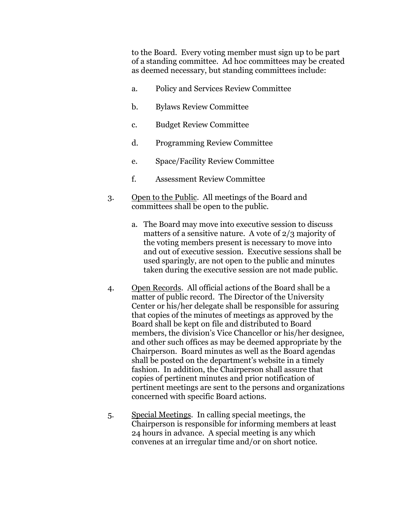to the Board. Every voting member must sign up to be part of a standing committee. Ad hoc committees may be created as deemed necessary, but standing committees include:

- a. Policy and Services Review Committee
- b. Bylaws Review Committee
- c. Budget Review Committee
- d. Programming Review Committee
- e. Space/Facility Review Committee
- f. Assessment Review Committee
- 3. Open to the Public. All meetings of the Board and committees shall be open to the public.
	- a. The Board may move into executive session to discuss matters of a sensitive nature. A vote of 2/3 majority of the voting members present is necessary to move into and out of executive session. Executive sessions shall be used sparingly, are not open to the public and minutes taken during the executive session are not made public.
- 4. Open Records. All official actions of the Board shall be a matter of public record. The Director of the University Center or his/her delegate shall be responsible for assuring that copies of the minutes of meetings as approved by the Board shall be kept on file and distributed to Board members, the division's Vice Chancellor or his/her designee, and other such offices as may be deemed appropriate by the Chairperson. Board minutes as well as the Board agendas shall be posted on the department's website in a timely fashion. In addition, the Chairperson shall assure that copies of pertinent minutes and prior notification of pertinent meetings are sent to the persons and organizations concerned with specific Board actions.
- 5. Special Meetings. In calling special meetings, the Chairperson is responsible for informing members at least 24 hours in advance. A special meeting is any which convenes at an irregular time and/or on short notice.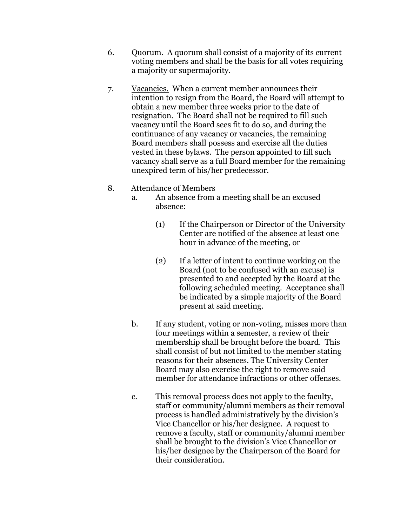- 6. Quorum. A quorum shall consist of a majority of its current voting members and shall be the basis for all votes requiring a majority or supermajority.
- 7. Vacancies. When a current member announces their intention to resign from the Board, the Board will attempt to obtain a new member three weeks prior to the date of resignation. The Board shall not be required to fill such vacancy until the Board sees fit to do so, and during the continuance of any vacancy or vacancies, the remaining Board members shall possess and exercise all the duties vested in these bylaws. The person appointed to fill such vacancy shall serve as a full Board member for the remaining unexpired term of his/her predecessor.

### 8. Attendance of Members

- a. An absence from a meeting shall be an excused absence:
	- (1) If the Chairperson or Director of the University Center are notified of the absence at least one hour in advance of the meeting, or
	- (2) If a letter of intent to continue working on the Board (not to be confused with an excuse) is presented to and accepted by the Board at the following scheduled meeting. Acceptance shall be indicated by a simple majority of the Board present at said meeting.
- b. If any student, voting or non-voting, misses more than four meetings within a semester, a review of their membership shall be brought before the board. This shall consist of but not limited to the member stating reasons for their absences. The University Center Board may also exercise the right to remove said member for attendance infractions or other offenses.
- c. This removal process does not apply to the faculty, staff or community/alumni members as their removal process is handled administratively by the division's Vice Chancellor or his/her designee. A request to remove a faculty, staff or community/alumni member shall be brought to the division's Vice Chancellor or his/her designee by the Chairperson of the Board for their consideration.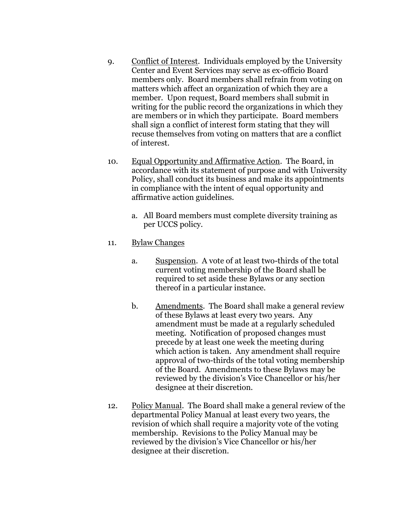- 9. Conflict of Interest. Individuals employed by the University Center and Event Services may serve as ex-officio Board members only. Board members shall refrain from voting on matters which affect an organization of which they are a member. Upon request, Board members shall submit in writing for the public record the organizations in which they are members or in which they participate. Board members shall sign a conflict of interest form stating that they will recuse themselves from voting on matters that are a conflict of interest.
- 10. Equal Opportunity and Affirmative Action. The Board, in accordance with its statement of purpose and with University Policy, shall conduct its business and make its appointments in compliance with the intent of equal opportunity and affirmative action guidelines.
	- a. All Board members must complete diversity training as per UCCS policy.
- 11. Bylaw Changes
	- a. Suspension. A vote of at least two-thirds of the total current voting membership of the Board shall be required to set aside these Bylaws or any section thereof in a particular instance.
	- b. Amendments. The Board shall make a general review of these Bylaws at least every two years. Any amendment must be made at a regularly scheduled meeting. Notification of proposed changes must precede by at least one week the meeting during which action is taken. Any amendment shall require approval of two-thirds of the total voting membership of the Board. Amendments to these Bylaws may be reviewed by the division's Vice Chancellor or his/her designee at their discretion.
- 12. Policy Manual. The Board shall make a general review of the departmental Policy Manual at least every two years, the revision of which shall require a majority vote of the voting membership. Revisions to the Policy Manual may be reviewed by the division's Vice Chancellor or his/her designee at their discretion.